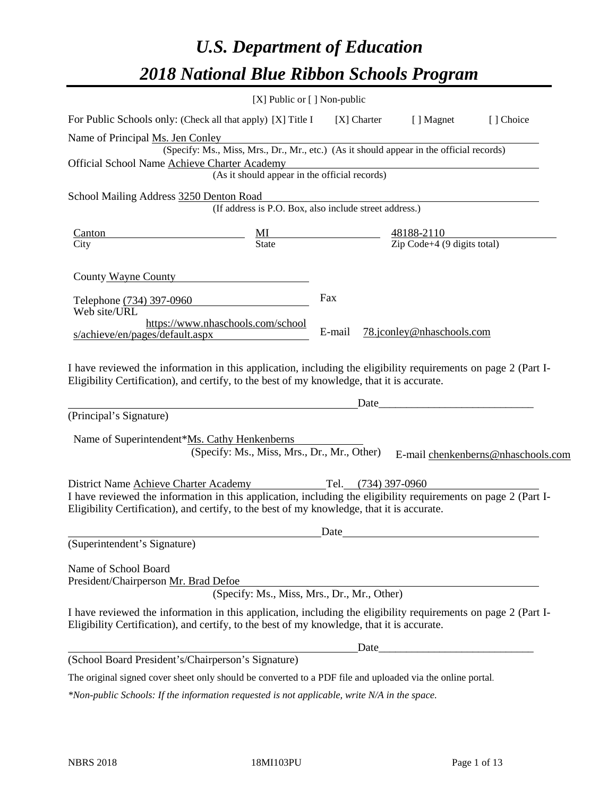# *U.S. Department of Education 2018 National Blue Ribbon Schools Program*

| $[X]$ Public or $[ ]$ Non-public                                                                                                                                                                             |        |       |                           |                                    |
|--------------------------------------------------------------------------------------------------------------------------------------------------------------------------------------------------------------|--------|-------|---------------------------|------------------------------------|
| For Public Schools only: (Check all that apply) [X] Title I [X] Charter                                                                                                                                      |        |       | [ ] Magnet                | [] Choice                          |
| Name of Principal Ms. Jen Conley                                                                                                                                                                             |        |       |                           |                                    |
| (Specify: Ms., Miss, Mrs., Dr., Mr., etc.) (As it should appear in the official records)                                                                                                                     |        |       |                           |                                    |
| Official School Name Achieve Charter Academy<br>Charter Academy<br>(As it should appear in the official records)                                                                                             |        |       |                           |                                    |
|                                                                                                                                                                                                              |        |       |                           |                                    |
| School Mailing Address 3250 Denton Road<br>(If address is P.O. Box, also include street address.)                                                                                                            |        |       |                           |                                    |
|                                                                                                                                                                                                              |        |       |                           |                                    |
| $\frac{\text{Canton}}{\text{City}}$ $\frac{\text{MI}}{\text{State}}$ $\frac{48188-2110}{\text{Zip Code}+4 (9 digits total)}$                                                                                 |        |       |                           |                                    |
|                                                                                                                                                                                                              |        |       |                           |                                    |
| County Wayne County                                                                                                                                                                                          |        |       |                           |                                    |
|                                                                                                                                                                                                              | Fax    |       |                           |                                    |
| Telephone (734) 397-0960<br>Web site/URL                                                                                                                                                                     |        |       |                           |                                    |
| https://www.nhaschools.com/school                                                                                                                                                                            | E-mail |       |                           |                                    |
| s/achieve/en/pages/default.aspx                                                                                                                                                                              |        |       | 78.jconley@nhaschools.com |                                    |
| (Principal's Signature)                                                                                                                                                                                      |        | Date  |                           |                                    |
| Name of Superintendent*Ms. Cathy Henkenberns<br>(Specify: Ms., Miss, Mrs., Dr., Mr., Other)                                                                                                                  |        |       |                           | E-mail chenkenberns@nhaschools.com |
| District Name Achieve Charter Academy Tel. (734) 397-0960                                                                                                                                                    |        |       |                           |                                    |
| I have reviewed the information in this application, including the eligibility requirements on page 2 (Part I-<br>Eligibility Certification), and certify, to the best of my knowledge, that it is accurate. |        |       |                           |                                    |
|                                                                                                                                                                                                              | Date   |       |                           |                                    |
| (Superintendent's Signature)                                                                                                                                                                                 |        |       |                           |                                    |
| Name of School Board<br>President/Chairperson Mr. Brad Defoe<br>(Specify: Ms., Miss, Mrs., Dr., Mr., Other)                                                                                                  |        |       |                           |                                    |
| I have reviewed the information in this application, including the eligibility requirements on page 2 (Part I-<br>Eligibility Certification), and certify, to the best of my knowledge, that it is accurate. |        |       |                           |                                    |
|                                                                                                                                                                                                              |        | Date_ |                           |                                    |
| (School Board President's/Chairperson's Signature)                                                                                                                                                           |        |       |                           |                                    |
| The original signed cover sheet only should be converted to a PDF file and uploaded via the online portal.                                                                                                   |        |       |                           |                                    |

*\*Non-public Schools: If the information requested is not applicable, write N/A in the space.*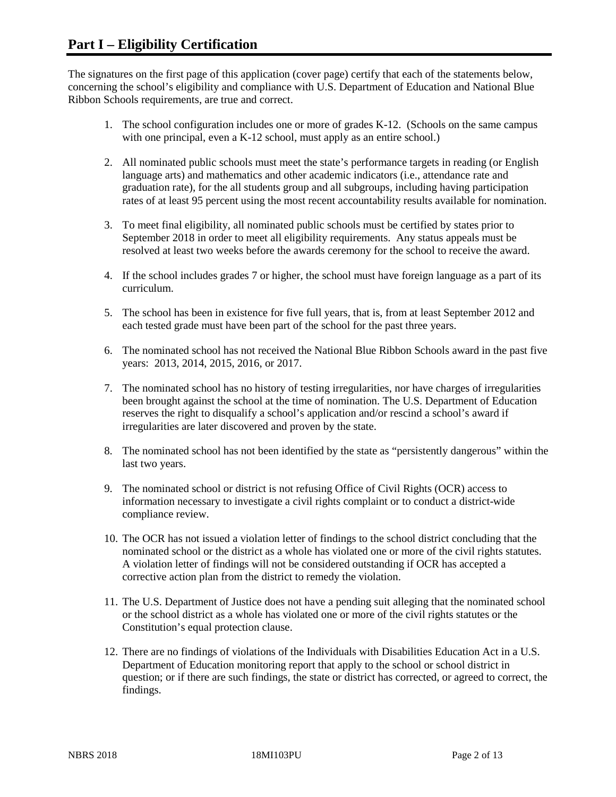The signatures on the first page of this application (cover page) certify that each of the statements below, concerning the school's eligibility and compliance with U.S. Department of Education and National Blue Ribbon Schools requirements, are true and correct.

- 1. The school configuration includes one or more of grades K-12. (Schools on the same campus with one principal, even a K-12 school, must apply as an entire school.)
- 2. All nominated public schools must meet the state's performance targets in reading (or English language arts) and mathematics and other academic indicators (i.e., attendance rate and graduation rate), for the all students group and all subgroups, including having participation rates of at least 95 percent using the most recent accountability results available for nomination.
- 3. To meet final eligibility, all nominated public schools must be certified by states prior to September 2018 in order to meet all eligibility requirements. Any status appeals must be resolved at least two weeks before the awards ceremony for the school to receive the award.
- 4. If the school includes grades 7 or higher, the school must have foreign language as a part of its curriculum.
- 5. The school has been in existence for five full years, that is, from at least September 2012 and each tested grade must have been part of the school for the past three years.
- 6. The nominated school has not received the National Blue Ribbon Schools award in the past five years: 2013, 2014, 2015, 2016, or 2017.
- 7. The nominated school has no history of testing irregularities, nor have charges of irregularities been brought against the school at the time of nomination. The U.S. Department of Education reserves the right to disqualify a school's application and/or rescind a school's award if irregularities are later discovered and proven by the state.
- 8. The nominated school has not been identified by the state as "persistently dangerous" within the last two years.
- 9. The nominated school or district is not refusing Office of Civil Rights (OCR) access to information necessary to investigate a civil rights complaint or to conduct a district-wide compliance review.
- 10. The OCR has not issued a violation letter of findings to the school district concluding that the nominated school or the district as a whole has violated one or more of the civil rights statutes. A violation letter of findings will not be considered outstanding if OCR has accepted a corrective action plan from the district to remedy the violation.
- 11. The U.S. Department of Justice does not have a pending suit alleging that the nominated school or the school district as a whole has violated one or more of the civil rights statutes or the Constitution's equal protection clause.
- 12. There are no findings of violations of the Individuals with Disabilities Education Act in a U.S. Department of Education monitoring report that apply to the school or school district in question; or if there are such findings, the state or district has corrected, or agreed to correct, the findings.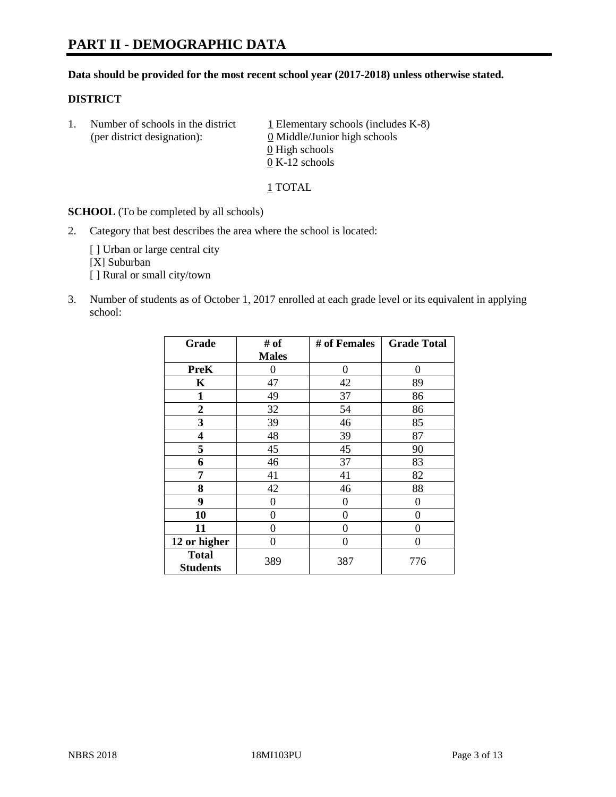#### **Data should be provided for the most recent school year (2017-2018) unless otherwise stated.**

#### **DISTRICT**

1. Number of schools in the district  $1$  Elementary schools (includes K-8) (per district designation): 0 Middle/Junior high schools 0 High schools 0 K-12 schools

1 TOTAL

**SCHOOL** (To be completed by all schools)

2. Category that best describes the area where the school is located:

[] Urban or large central city [X] Suburban [] Rural or small city/town

3. Number of students as of October 1, 2017 enrolled at each grade level or its equivalent in applying school:

| Grade                           | # of         | # of Females     | <b>Grade Total</b> |
|---------------------------------|--------------|------------------|--------------------|
|                                 | <b>Males</b> |                  |                    |
| <b>PreK</b>                     | 0            | 0                | 0                  |
| K                               | 47           | 42               | 89                 |
| $\mathbf{1}$                    | 49           | 37               | 86                 |
| 2                               | 32           | 54               | 86                 |
| 3                               | 39           | 46               | 85                 |
| 4                               | 48           | 39               | 87                 |
| 5                               | 45           | 45               | 90                 |
| 6                               | 46           | 37               | 83                 |
| 7                               | 41           | 41               | 82                 |
| 8                               | 42           | 46               | 88                 |
| 9                               | 0            | $\boldsymbol{0}$ | 0                  |
| 10                              | 0            | 0                | 0                  |
| 11                              | 0            | 0                | 0                  |
| 12 or higher                    | 0            | 0                | 0                  |
| <b>Total</b><br><b>Students</b> | 389          | 387              | 776                |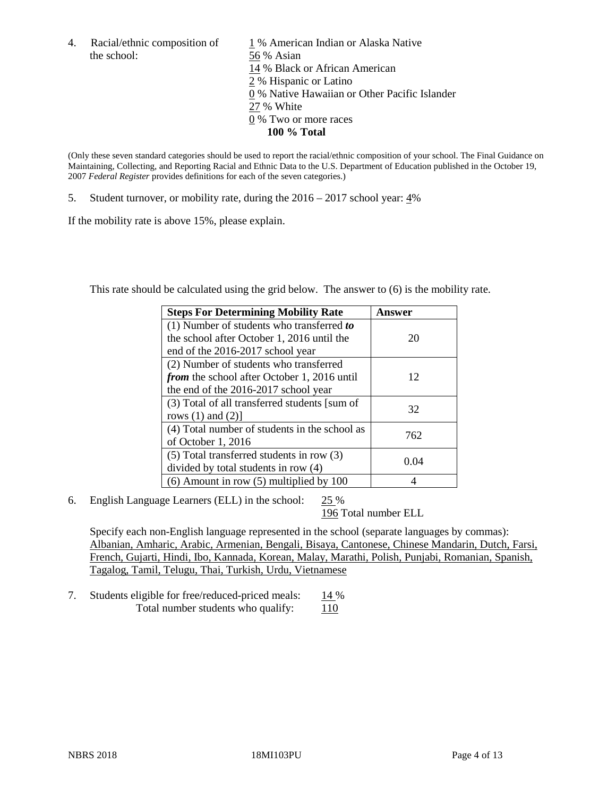the school: 56 % Asian

4. Racial/ethnic composition of  $1\%$  American Indian or Alaska Native 14 % Black or African American 2 % Hispanic or Latino 0 % Native Hawaiian or Other Pacific Islander 27 % White 0 % Two or more races **100 % Total**

(Only these seven standard categories should be used to report the racial/ethnic composition of your school. The Final Guidance on Maintaining, Collecting, and Reporting Racial and Ethnic Data to the U.S. Department of Education published in the October 19, 2007 *Federal Register* provides definitions for each of the seven categories.)

5. Student turnover, or mobility rate, during the 2016 – 2017 school year: 4%

If the mobility rate is above 15%, please explain.

This rate should be calculated using the grid below. The answer to (6) is the mobility rate.

| <b>Steps For Determining Mobility Rate</b>         | Answer |
|----------------------------------------------------|--------|
| (1) Number of students who transferred to          |        |
| the school after October 1, 2016 until the         | 20     |
| end of the 2016-2017 school year                   |        |
| (2) Number of students who transferred             |        |
| <i>from</i> the school after October 1, 2016 until | 12     |
| the end of the 2016-2017 school year               |        |
| (3) Total of all transferred students [sum of      | 32     |
| rows $(1)$ and $(2)$ ]                             |        |
| (4) Total number of students in the school as      | 762    |
| of October 1, 2016                                 |        |
| $(5)$ Total transferred students in row $(3)$      | 0.04   |
| divided by total students in row (4)               |        |
| $(6)$ Amount in row $(5)$ multiplied by 100        |        |

6. English Language Learners (ELL) in the school: 25 %

196 Total number ELL

Specify each non-English language represented in the school (separate languages by commas): Albanian, Amharic, Arabic, Armenian, Bengali, Bisaya, Cantonese, Chinese Mandarin, Dutch, Farsi, French, Gujarti, Hindi, Ibo, Kannada, Korean, Malay, Marathi, Polish, Punjabi, Romanian, Spanish, Tagalog, Tamil, Telugu, Thai, Turkish, Urdu, Vietnamese

7. Students eligible for free/reduced-priced meals: 14 % Total number students who qualify:  $110$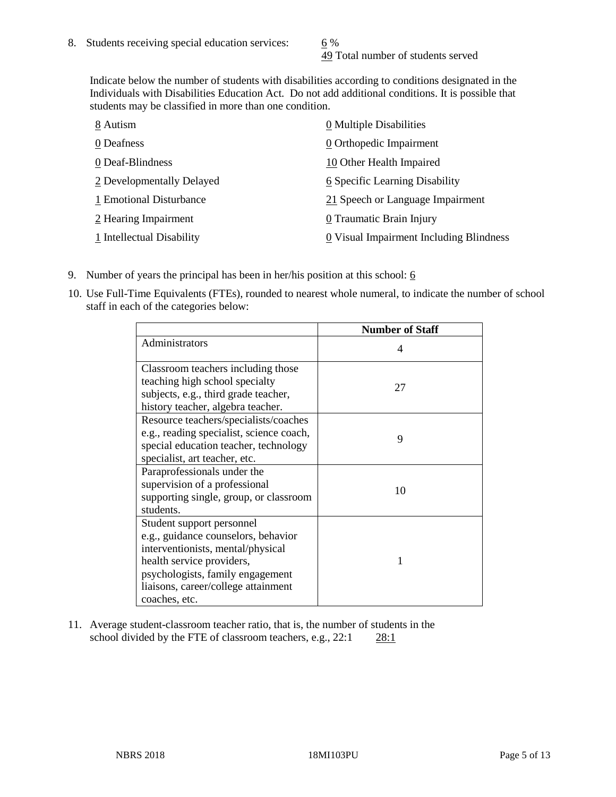49 Total number of students served

Indicate below the number of students with disabilities according to conditions designated in the Individuals with Disabilities Education Act. Do not add additional conditions. It is possible that students may be classified in more than one condition.

| 8 Autism                  | 0 Multiple Disabilities                 |
|---------------------------|-----------------------------------------|
| 0 Deafness                | 0 Orthopedic Impairment                 |
| 0 Deaf-Blindness          | 10 Other Health Impaired                |
| 2 Developmentally Delayed | 6 Specific Learning Disability          |
| 1 Emotional Disturbance   | 21 Speech or Language Impairment        |
| 2 Hearing Impairment      | 0 Traumatic Brain Injury                |
| 1 Intellectual Disability | 0 Visual Impairment Including Blindness |

- 9. Number of years the principal has been in her/his position at this school:  $6$
- 10. Use Full-Time Equivalents (FTEs), rounded to nearest whole numeral, to indicate the number of school staff in each of the categories below:

|                                                                                                                                                                                                                                | <b>Number of Staff</b> |
|--------------------------------------------------------------------------------------------------------------------------------------------------------------------------------------------------------------------------------|------------------------|
| Administrators                                                                                                                                                                                                                 | 4                      |
| Classroom teachers including those<br>teaching high school specialty<br>subjects, e.g., third grade teacher,<br>history teacher, algebra teacher.                                                                              | 27                     |
| Resource teachers/specialists/coaches<br>e.g., reading specialist, science coach,<br>special education teacher, technology<br>specialist, art teacher, etc.                                                                    | 9                      |
| Paraprofessionals under the<br>supervision of a professional<br>supporting single, group, or classroom<br>students.                                                                                                            | 10                     |
| Student support personnel<br>e.g., guidance counselors, behavior<br>interventionists, mental/physical<br>health service providers,<br>psychologists, family engagement<br>liaisons, career/college attainment<br>coaches, etc. | 1                      |

11. Average student-classroom teacher ratio, that is, the number of students in the school divided by the FTE of classroom teachers, e.g., 22:1 28:1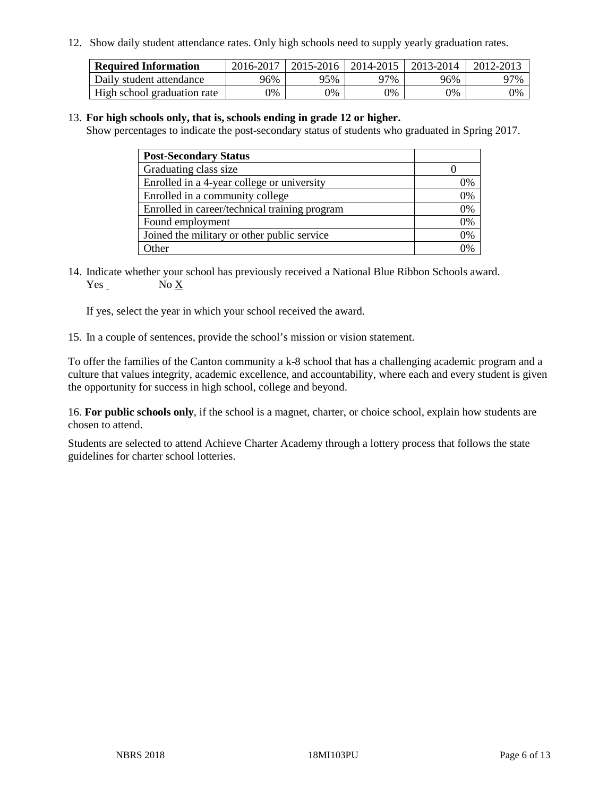12. Show daily student attendance rates. Only high schools need to supply yearly graduation rates.

| <b>Required Information</b> | 2016-2017 | $2015 - 2016$ | 2014-2015 | 2013-2014 | 2012-2013 |
|-----------------------------|-----------|---------------|-----------|-----------|-----------|
| Daily student attendance    | 96%       | 95%           | 97%       | 96%       | 97%       |
| High school graduation rate | 0%        | 0%            | 0%        | 9%        | 0%        |

#### 13. **For high schools only, that is, schools ending in grade 12 or higher.**

Show percentages to indicate the post-secondary status of students who graduated in Spring 2017.

| <b>Post-Secondary Status</b>                  |              |
|-----------------------------------------------|--------------|
| Graduating class size                         |              |
| Enrolled in a 4-year college or university    | 0%           |
| Enrolled in a community college               | 0%           |
| Enrolled in career/technical training program | 0%           |
| Found employment                              | 0%           |
| Joined the military or other public service   | 0%           |
| Other                                         | $\gamma_{0}$ |

14. Indicate whether your school has previously received a National Blue Ribbon Schools award. Yes No X

If yes, select the year in which your school received the award.

15. In a couple of sentences, provide the school's mission or vision statement.

To offer the families of the Canton community a k-8 school that has a challenging academic program and a culture that values integrity, academic excellence, and accountability, where each and every student is given the opportunity for success in high school, college and beyond.

16. **For public schools only**, if the school is a magnet, charter, or choice school, explain how students are chosen to attend.

Students are selected to attend Achieve Charter Academy through a lottery process that follows the state guidelines for charter school lotteries.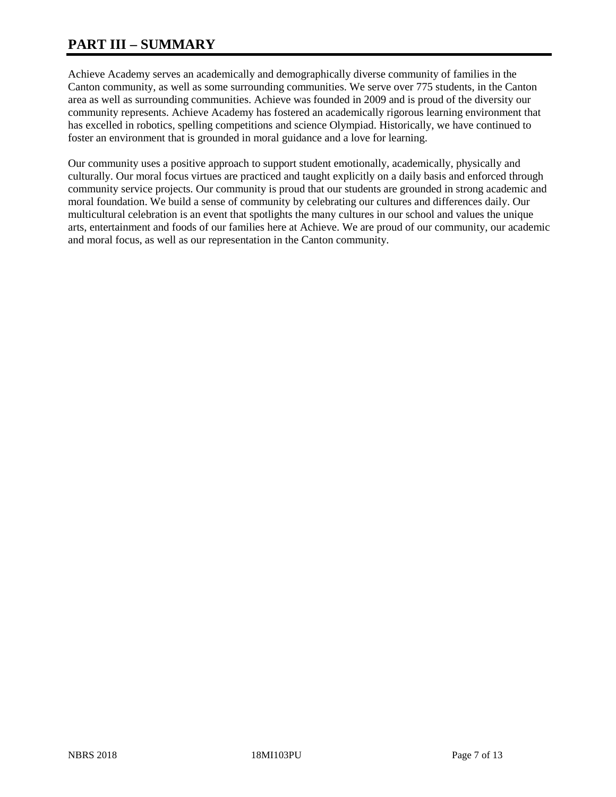# **PART III – SUMMARY**

Achieve Academy serves an academically and demographically diverse community of families in the Canton community, as well as some surrounding communities. We serve over 775 students, in the Canton area as well as surrounding communities. Achieve was founded in 2009 and is proud of the diversity our community represents. Achieve Academy has fostered an academically rigorous learning environment that has excelled in robotics, spelling competitions and science Olympiad. Historically, we have continued to foster an environment that is grounded in moral guidance and a love for learning.

Our community uses a positive approach to support student emotionally, academically, physically and culturally. Our moral focus virtues are practiced and taught explicitly on a daily basis and enforced through community service projects. Our community is proud that our students are grounded in strong academic and moral foundation. We build a sense of community by celebrating our cultures and differences daily. Our multicultural celebration is an event that spotlights the many cultures in our school and values the unique arts, entertainment and foods of our families here at Achieve. We are proud of our community, our academic and moral focus, as well as our representation in the Canton community.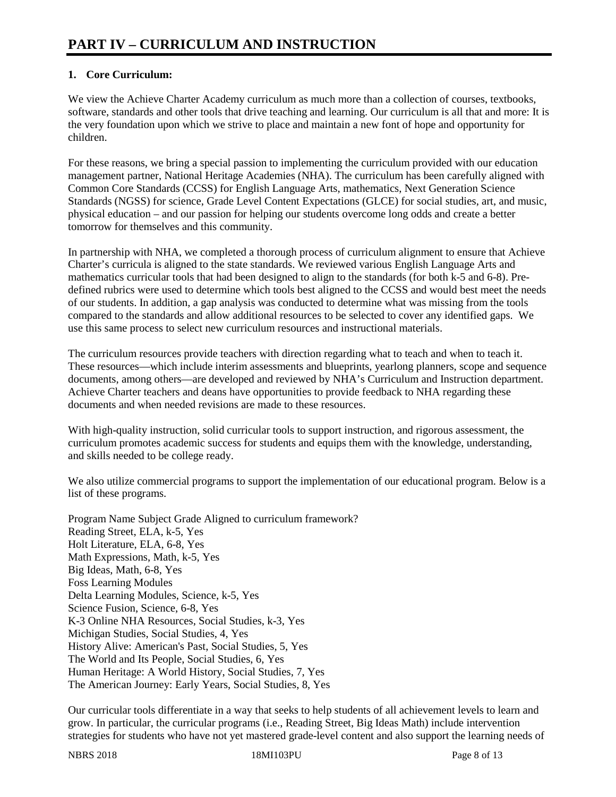# **1. Core Curriculum:**

We view the Achieve Charter Academy curriculum as much more than a collection of courses, textbooks, software, standards and other tools that drive teaching and learning. Our curriculum is all that and more: It is the very foundation upon which we strive to place and maintain a new font of hope and opportunity for children.

For these reasons, we bring a special passion to implementing the curriculum provided with our education management partner, National Heritage Academies (NHA). The curriculum has been carefully aligned with Common Core Standards (CCSS) for English Language Arts, mathematics, Next Generation Science Standards (NGSS) for science, Grade Level Content Expectations (GLCE) for social studies, art, and music, physical education – and our passion for helping our students overcome long odds and create a better tomorrow for themselves and this community.

In partnership with NHA, we completed a thorough process of curriculum alignment to ensure that Achieve Charter's curricula is aligned to the state standards. We reviewed various English Language Arts and mathematics curricular tools that had been designed to align to the standards (for both k-5 and 6-8). Predefined rubrics were used to determine which tools best aligned to the CCSS and would best meet the needs of our students. In addition, a gap analysis was conducted to determine what was missing from the tools compared to the standards and allow additional resources to be selected to cover any identified gaps. We use this same process to select new curriculum resources and instructional materials.

The curriculum resources provide teachers with direction regarding what to teach and when to teach it. These resources—which include interim assessments and blueprints, yearlong planners, scope and sequence documents, among others—are developed and reviewed by NHA's Curriculum and Instruction department. Achieve Charter teachers and deans have opportunities to provide feedback to NHA regarding these documents and when needed revisions are made to these resources.

With high-quality instruction, solid curricular tools to support instruction, and rigorous assessment, the curriculum promotes academic success for students and equips them with the knowledge, understanding, and skills needed to be college ready.

We also utilize commercial programs to support the implementation of our educational program. Below is a list of these programs.

Program Name Subject Grade Aligned to curriculum framework? Reading Street, ELA, k-5, Yes Holt Literature, ELA, 6-8, Yes Math Expressions, Math, k-5, Yes Big Ideas, Math, 6-8, Yes Foss Learning Modules Delta Learning Modules, Science, k-5, Yes Science Fusion, Science, 6-8, Yes K-3 Online NHA Resources, Social Studies, k-3, Yes Michigan Studies, Social Studies, 4, Yes History Alive: American's Past, Social Studies, 5, Yes The World and Its People, Social Studies, 6, Yes Human Heritage: A World History, Social Studies, 7, Yes The American Journey: Early Years, Social Studies, 8, Yes

Our curricular tools differentiate in a way that seeks to help students of all achievement levels to learn and grow. In particular, the curricular programs (i.e., Reading Street, Big Ideas Math) include intervention strategies for students who have not yet mastered grade-level content and also support the learning needs of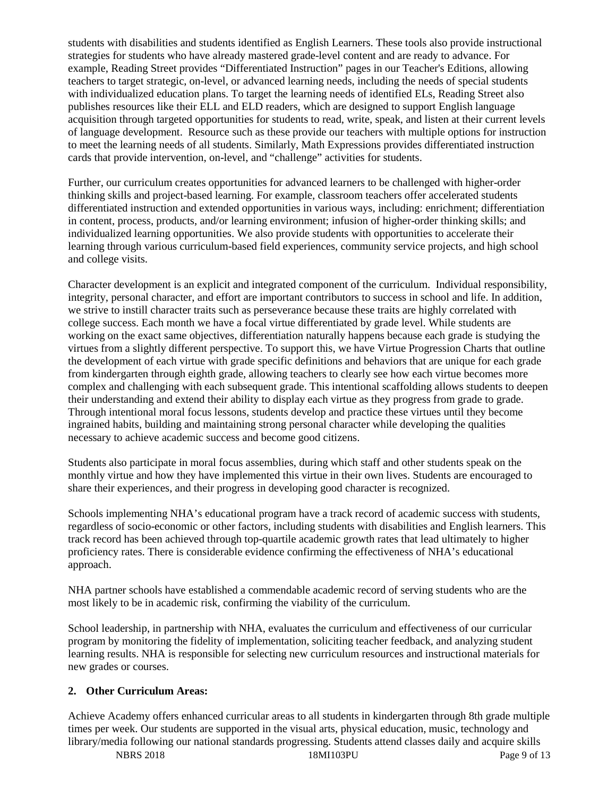students with disabilities and students identified as English Learners. These tools also provide instructional strategies for students who have already mastered grade-level content and are ready to advance. For example, Reading Street provides "Differentiated Instruction" pages in our Teacher's Editions, allowing teachers to target strategic, on-level, or advanced learning needs, including the needs of special students with individualized education plans. To target the learning needs of identified ELs, Reading Street also publishes resources like their ELL and ELD readers, which are designed to support English language acquisition through targeted opportunities for students to read, write, speak, and listen at their current levels of language development. Resource such as these provide our teachers with multiple options for instruction to meet the learning needs of all students. Similarly, Math Expressions provides differentiated instruction cards that provide intervention, on-level, and "challenge" activities for students.

Further, our curriculum creates opportunities for advanced learners to be challenged with higher-order thinking skills and project-based learning. For example, classroom teachers offer accelerated students differentiated instruction and extended opportunities in various ways, including: enrichment; differentiation in content, process, products, and/or learning environment; infusion of higher-order thinking skills; and individualized learning opportunities. We also provide students with opportunities to accelerate their learning through various curriculum-based field experiences, community service projects, and high school and college visits.

Character development is an explicit and integrated component of the curriculum. Individual responsibility, integrity, personal character, and effort are important contributors to success in school and life. In addition, we strive to instill character traits such as perseverance because these traits are highly correlated with college success. Each month we have a focal virtue differentiated by grade level. While students are working on the exact same objectives, differentiation naturally happens because each grade is studying the virtues from a slightly different perspective. To support this, we have Virtue Progression Charts that outline the development of each virtue with grade specific definitions and behaviors that are unique for each grade from kindergarten through eighth grade, allowing teachers to clearly see how each virtue becomes more complex and challenging with each subsequent grade. This intentional scaffolding allows students to deepen their understanding and extend their ability to display each virtue as they progress from grade to grade. Through intentional moral focus lessons, students develop and practice these virtues until they become ingrained habits, building and maintaining strong personal character while developing the qualities necessary to achieve academic success and become good citizens.

Students also participate in moral focus assemblies, during which staff and other students speak on the monthly virtue and how they have implemented this virtue in their own lives. Students are encouraged to share their experiences, and their progress in developing good character is recognized.

Schools implementing NHA's educational program have a track record of academic success with students, regardless of socio-economic or other factors, including students with disabilities and English learners. This track record has been achieved through top-quartile academic growth rates that lead ultimately to higher proficiency rates. There is considerable evidence confirming the effectiveness of NHA's educational approach.

NHA partner schools have established a commendable academic record of serving students who are the most likely to be in academic risk, confirming the viability of the curriculum.

School leadership, in partnership with NHA, evaluates the curriculum and effectiveness of our curricular program by monitoring the fidelity of implementation, soliciting teacher feedback, and analyzing student learning results. NHA is responsible for selecting new curriculum resources and instructional materials for new grades or courses.

# **2. Other Curriculum Areas:**

Achieve Academy offers enhanced curricular areas to all students in kindergarten through 8th grade multiple times per week. Our students are supported in the visual arts, physical education, music, technology and library/media following our national standards progressing. Students attend classes daily and acquire skills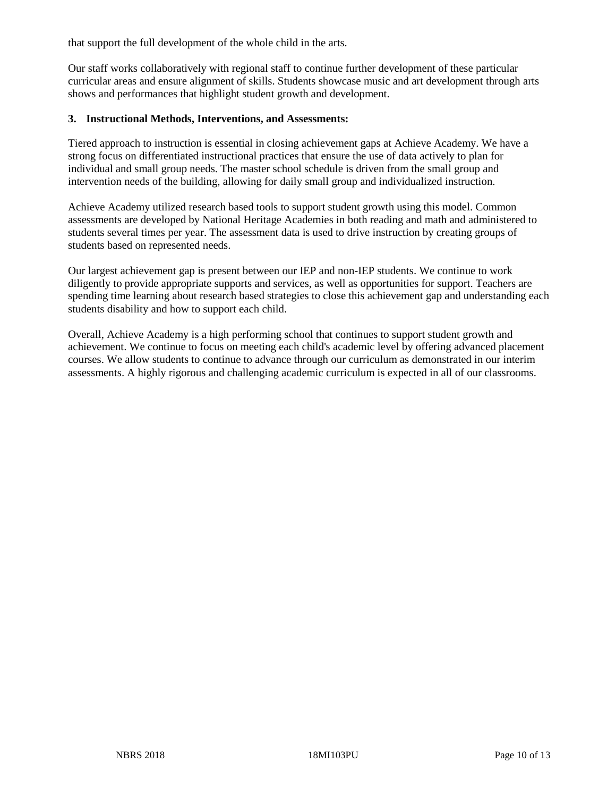that support the full development of the whole child in the arts.

Our staff works collaboratively with regional staff to continue further development of these particular curricular areas and ensure alignment of skills. Students showcase music and art development through arts shows and performances that highlight student growth and development.

#### **3. Instructional Methods, Interventions, and Assessments:**

Tiered approach to instruction is essential in closing achievement gaps at Achieve Academy. We have a strong focus on differentiated instructional practices that ensure the use of data actively to plan for individual and small group needs. The master school schedule is driven from the small group and intervention needs of the building, allowing for daily small group and individualized instruction.

Achieve Academy utilized research based tools to support student growth using this model. Common assessments are developed by National Heritage Academies in both reading and math and administered to students several times per year. The assessment data is used to drive instruction by creating groups of students based on represented needs.

Our largest achievement gap is present between our IEP and non-IEP students. We continue to work diligently to provide appropriate supports and services, as well as opportunities for support. Teachers are spending time learning about research based strategies to close this achievement gap and understanding each students disability and how to support each child.

Overall, Achieve Academy is a high performing school that continues to support student growth and achievement. We continue to focus on meeting each child's academic level by offering advanced placement courses. We allow students to continue to advance through our curriculum as demonstrated in our interim assessments. A highly rigorous and challenging academic curriculum is expected in all of our classrooms.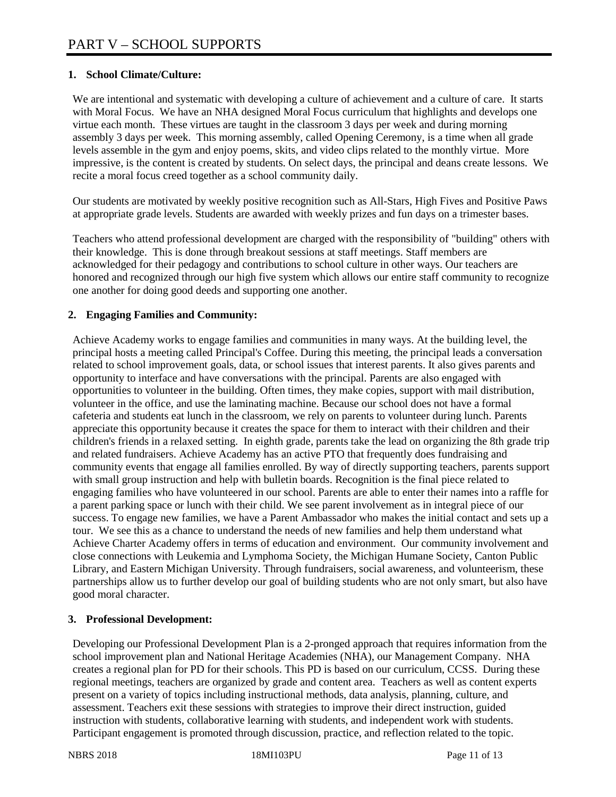# **1. School Climate/Culture:**

We are intentional and systematic with developing a culture of achievement and a culture of care. It starts with Moral Focus. We have an NHA designed Moral Focus curriculum that highlights and develops one virtue each month. These virtues are taught in the classroom 3 days per week and during morning assembly 3 days per week. This morning assembly, called Opening Ceremony, is a time when all grade levels assemble in the gym and enjoy poems, skits, and video clips related to the monthly virtue. More impressive, is the content is created by students. On select days, the principal and deans create lessons. We recite a moral focus creed together as a school community daily.

Our students are motivated by weekly positive recognition such as All-Stars, High Fives and Positive Paws at appropriate grade levels. Students are awarded with weekly prizes and fun days on a trimester bases.

Teachers who attend professional development are charged with the responsibility of "building" others with their knowledge. This is done through breakout sessions at staff meetings. Staff members are acknowledged for their pedagogy and contributions to school culture in other ways. Our teachers are honored and recognized through our high five system which allows our entire staff community to recognize one another for doing good deeds and supporting one another.

# **2. Engaging Families and Community:**

Achieve Academy works to engage families and communities in many ways. At the building level, the principal hosts a meeting called Principal's Coffee. During this meeting, the principal leads a conversation related to school improvement goals, data, or school issues that interest parents. It also gives parents and opportunity to interface and have conversations with the principal. Parents are also engaged with opportunities to volunteer in the building. Often times, they make copies, support with mail distribution, volunteer in the office, and use the laminating machine. Because our school does not have a formal cafeteria and students eat lunch in the classroom, we rely on parents to volunteer during lunch. Parents appreciate this opportunity because it creates the space for them to interact with their children and their children's friends in a relaxed setting. In eighth grade, parents take the lead on organizing the 8th grade trip and related fundraisers. Achieve Academy has an active PTO that frequently does fundraising and community events that engage all families enrolled. By way of directly supporting teachers, parents support with small group instruction and help with bulletin boards. Recognition is the final piece related to engaging families who have volunteered in our school. Parents are able to enter their names into a raffle for a parent parking space or lunch with their child. We see parent involvement as in integral piece of our success. To engage new families, we have a Parent Ambassador who makes the initial contact and sets up a tour. We see this as a chance to understand the needs of new families and help them understand what Achieve Charter Academy offers in terms of education and environment. Our community involvement and close connections with Leukemia and Lymphoma Society, the Michigan Humane Society, Canton Public Library, and Eastern Michigan University. Through fundraisers, social awareness, and volunteerism, these partnerships allow us to further develop our goal of building students who are not only smart, but also have good moral character.

# **3. Professional Development:**

Developing our Professional Development Plan is a 2-pronged approach that requires information from the school improvement plan and National Heritage Academies (NHA), our Management Company. NHA creates a regional plan for PD for their schools. This PD is based on our curriculum, CCSS. During these regional meetings, teachers are organized by grade and content area. Teachers as well as content experts present on a variety of topics including instructional methods, data analysis, planning, culture, and assessment. Teachers exit these sessions with strategies to improve their direct instruction, guided instruction with students, collaborative learning with students, and independent work with students. Participant engagement is promoted through discussion, practice, and reflection related to the topic.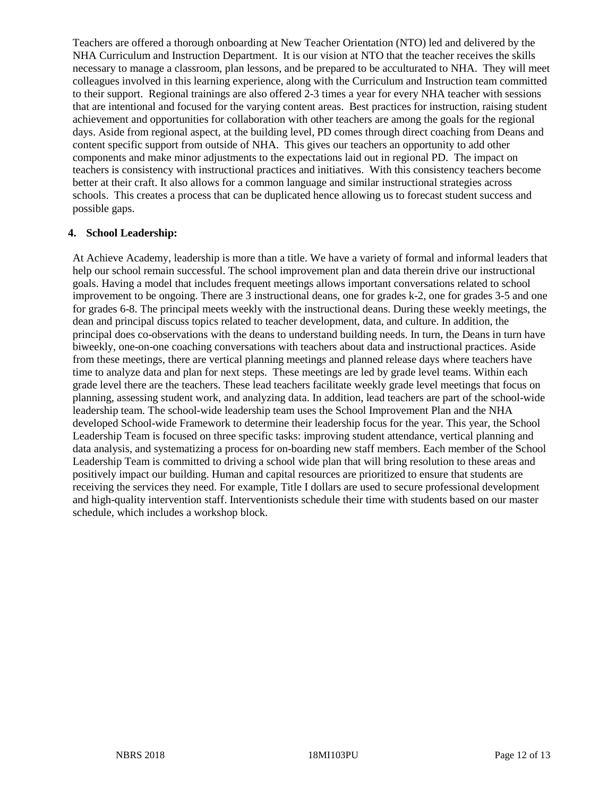Teachers are offered a thorough onboarding at New Teacher Orientation (NTO) led and delivered by the NHA Curriculum and Instruction Department. It is our vision at NTO that the teacher receives the skills necessary to manage a classroom, plan lessons, and be prepared to be acculturated to NHA. They will meet colleagues involved in this learning experience, along with the Curriculum and Instruction team committed to their support. Regional trainings are also offered 2-3 times a year for every NHA teacher with sessions that are intentional and focused for the varying content areas. Best practices for instruction, raising student achievement and opportunities for collaboration with other teachers are among the goals for the regional days. Aside from regional aspect, at the building level, PD comes through direct coaching from Deans and content specific support from outside of NHA. This gives our teachers an opportunity to add other components and make minor adjustments to the expectations laid out in regional PD. The impact on teachers is consistency with instructional practices and initiatives. With this consistency teachers become better at their craft. It also allows for a common language and similar instructional strategies across schools. This creates a process that can be duplicated hence allowing us to forecast student success and possible gaps.

#### **4. School Leadership:**

At Achieve Academy, leadership is more than a title. We have a variety of formal and informal leaders that help our school remain successful. The school improvement plan and data therein drive our instructional goals. Having a model that includes frequent meetings allows important conversations related to school improvement to be ongoing. There are 3 instructional deans, one for grades k-2, one for grades 3-5 and one for grades 6-8. The principal meets weekly with the instructional deans. During these weekly meetings, the dean and principal discuss topics related to teacher development, data, and culture. In addition, the principal does co-observations with the deans to understand building needs. In turn, the Deans in turn have biweekly, one-on-one coaching conversations with teachers about data and instructional practices. Aside from these meetings, there are vertical planning meetings and planned release days where teachers have time to analyze data and plan for next steps. These meetings are led by grade level teams. Within each grade level there are the teachers. These lead teachers facilitate weekly grade level meetings that focus on planning, assessing student work, and analyzing data. In addition, lead teachers are part of the school-wide leadership team. The school-wide leadership team uses the School Improvement Plan and the NHA developed School-wide Framework to determine their leadership focus for the year. This year, the School Leadership Team is focused on three specific tasks: improving student attendance, vertical planning and data analysis, and systematizing a process for on-boarding new staff members. Each member of the School Leadership Team is committed to driving a school wide plan that will bring resolution to these areas and positively impact our building. Human and capital resources are prioritized to ensure that students are receiving the services they need. For example, Title I dollars are used to secure professional development and high-quality intervention staff. Interventionists schedule their time with students based on our master schedule, which includes a workshop block.